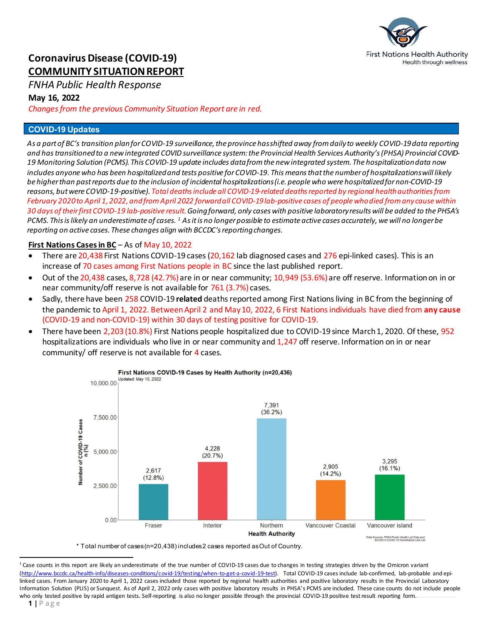

# **Coronavirus Disease (COVID-19) COMMUNITY SITUATION REPORT**

# *FNHA Public Health Response*

### **May 16, 2022**

*Changes from the previous Community Situation Report are in red.*

### **COVID-19 Updates**

*As a part of BC's transition plan for COVID-19 surveillance, the province has shifted away from daily to weekly COVID-19 data reporting and has transitionedto a new integrated COVID surveillance system: the Provincial Health Services Authority's (PHSA) Provincial COVID-19 Monitoring Solution (PCMS). This COVID-19 update includes data from the new integrated system. The hospitalization data now*  includes anyone who has been hospitalized and tests positive for COVID-19. This means that the *number of hospitalizations will likely be higher than past reports due to the inclusion of incidental hospitalizations(i.e. people who were hospitalized for non-COVID-19 reasons, but were COVID-19-positive). Total deaths include all COVID-19-related deaths reported by regional health authorities from February 2020 to April 1, 2022, andfrom April 2022 forwardall COVID-19 lab-positive cases of people who died from any causewithin 30 days of their first COVID-19 lab-positive result. Going forward, only cases with positive laboratory results will be added to the PHSA's PCMS. This is likely an underestimate of cases. [1](#page-0-0) As it is no longer possible to estimate active cases accurately, we will no longer be reporting on active cases. These changes align with BCCDC's reportingchanges.* 

# **First Nations Cases in BC** – As of May 10, 2022

- There are 20,438 First Nations COVID-19 cases (20,162 lab diagnosed cases and 276 epi-linked cases). This is an increase of 70 cases among First Nations people in BC since the last published report.
- Out of the 20,438 cases, 8,728 (42.7%) are in or near community; 10,949 (53.6%) are off reserve. Information on in or near community/off reserve is not available for 761 (3.7%) cases.
- Sadly, there have been 258 COVID-19 **related** deaths reported among First Nations living in BC from the beginning of the pandemic to April 1, 2022. Between April 2 and May 10, 2022, 6 First Nations individuals have died from **any cause** (COVID-19 and non-COVID-19) within 30 days of testing positive for COVID-19.
- There have been 2,203 (10.8%) First Nations people hospitalized due to COVID-19 since March 1, 2020. Of these, 952 hospitalizations are individuals who live in or near community and 1,247 off reserve. Information on in or near community/ off reserve is not available for 4 cases.



\* Total number of cases (n=20,438) includes 2 cases reported as Out of Country.

<span id="page-0-0"></span>l <sup>1</sup> Case counts in this report are likely an underestimate of the true number of COVID-19 cases due to changes in testing strategies driven by the Omicron variant [\(http://www.bccdc.ca/health-info/diseases-conditions/covid-19/testing/when-to-get-a-covid-19-test\).](http://www.bccdc.ca/health-info/diseases-conditions/covid-19/testing/when-to-get-a-covid-19-test) Total COVID-19 cases include lab-confirmed, lab-probable and epilinked cases. From January 2020 to April 1, 2022 cases included those reported by regional health authorities and positive laboratory results in the Provincial Laboratory Information Solution (PLIS) or Sunquest. As of April 2, 2022 only cases with positive laboratory results in PHSA's PCMS are included. These case counts do not include people who only tested positive by rapid antigen tests. Self-reporting is also no longer possible through the provincial COVID-19 positive test result reporting form.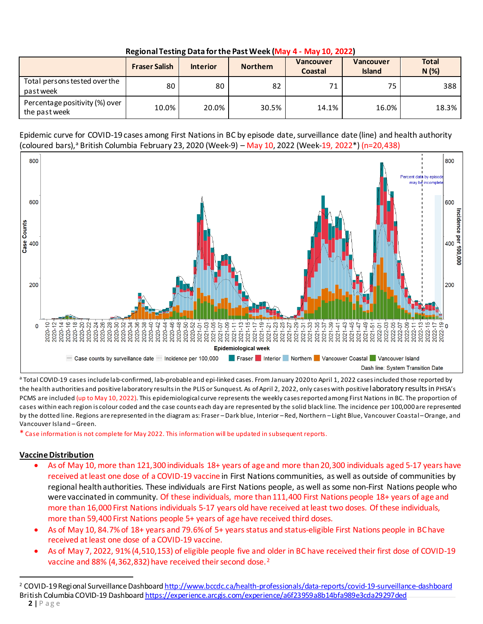| Regional Testing Data for the Past Week (May 4 - May 10, 2022) |  |  |  |  |
|----------------------------------------------------------------|--|--|--|--|
|----------------------------------------------------------------|--|--|--|--|

|                                                 | <b>Fraser Salish</b> | <b>Interior</b> | <b>Northern</b> | Vancouver<br>Coastal | <b>Vancouver</b><br><b>Island</b> | <b>Total</b><br>N(%) |
|-------------------------------------------------|----------------------|-----------------|-----------------|----------------------|-----------------------------------|----------------------|
| Total persons tested over the<br>pastweek       | 80 <sup>1</sup>      | 80              | 82              | 71                   | 75                                | 388                  |
| Percentage positivity (%) over<br>the past week | 10.0%                | 20.0%           | 30.5%           | 14.1%                | 16.0%                             | 18.3%                |

Epidemic curve for COVID-19 cases among First Nationsin BC by episode date, surveillance date (line) and health authority (coloured bars),<sup>a</sup> British Columbia February 23, 2020 (Week-9) – May 10, 2022 (Week-19, 2022\*) (n=20,438)



<sup>a</sup> Total COVID-19 cases include lab-confirmed, lab-probable and epi-linked cases. From January 2020 to April 1, 2022 cases included those reported by the health authorities and positive laboratory results in the PLIS or Sunquest. As of April 2, 2022, only cases with positive laboratory results in PHSA's PCMS are included (up to May 10, 2022). This epidemiological curve represents the weekly cases reported among First Nations in BC. The proportion of cases within each region is colour coded and the case counts each day are represented by the solid black line. The incidence per 100,000 are represented by the dotted line. Regions are represented in the diagram as: Fraser – Dark blue, Interior – Red, Northern – Light Blue, Vancouver Coastal – Orange, and Vancouver Island – Green.

\* Case information is not complete for May 2022. This information will be updated in subsequent reports.

# **Vaccine Distribution**

- As of May 10, more than 121,300 individuals 18+ years of age and more than 20,300 individuals aged 5-17 years have received at least one dose of a COVID-19 vaccine in First Nations communities, as well as outside of communities by regional health authorities. These individuals are First Nations people, as well as some non-First Nations people who were vaccinated in community. Of these individuals, more than 111,400 First Nations people 18+ years of age and more than 16,000 First Nations individuals 5-17 years old have received at least two doses. Of these individuals, more than 59,400 First Nations people 5+ years of age have received third doses.
- As of May 10, 84.7% of 18+ years and 79.6% of 5+ years status and status-eligible First Nations people in BC have received at least one dose of a COVID-19 vaccine.
- As of May 7, 2022, 91% (4,510,153) of eligible people five and older in BC have received their first dose of COVID-19 vaccine and 88% (4,36[2](#page-1-0),832) have received their second dose.<sup>2</sup>

<span id="page-1-0"></span> $\overline{a}$ <sup>2</sup> COVID-19 Regional Surveillance Dashboard <http://www.bccdc.ca/health-professionals/data-reports/covid-19-surveillance-dashboard> British Columbia COVID-19 Dashboar[d https://experience.arcgis.com/experience/a6f23959a8b14bfa989e3cda29297ded](https://experience.arcgis.com/experience/a6f23959a8b14bfa989e3cda29297ded)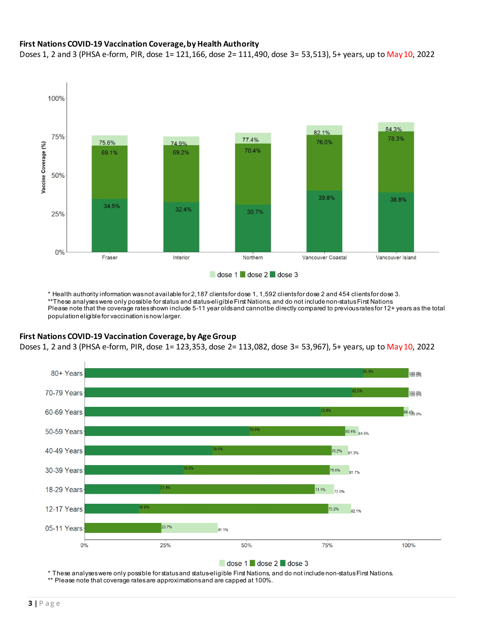### **First Nations COVID-19 Vaccination Coverage, by Health Authority**

Doses 1, 2 and 3 (PHSA e-form, PIR, dose 1= 121,166, dose 2= 111,490, dose 3= 53,513), 5+ years, up to May 10, 2022



\* Health authority information was not available for 2,187 clients for dose 1, 1,592 clients for dose 2 and 454 clients for dose 3. \*\*These analyses were only possible for status and status-eligible First Nations, and do not include non-status First Nations Please note that the coverage rates shown include 5-11 year olds and cannot be directly compared to previous rates for 12+ years as the total population eligible for vaccination is now larger.

### **First Nations COVID-19 Vaccination Coverage, by Age Group**

Doses 1, 2 and 3 (PHSA e-form, PIR, dose 1= 123,353, dose 2= 113,082, dose 3= 53,967), 5+ years, up to May 10, 2022



\* These analyses were only possible for status and status-eligible First Nations, and do not include non-status First Nations.

\*\* Please note that coverage rates are approximations and are capped at 100%.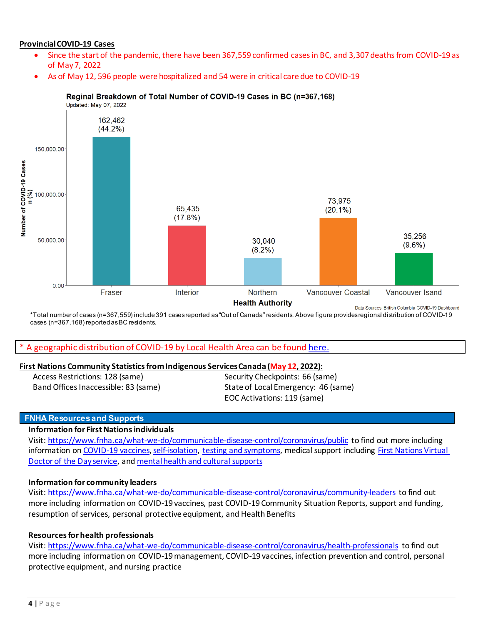### **Provincial COVID-19 Cases**

- Since the start of the pandemic, there have been 367,559 confirmed cases in BC, and 3,307 deaths from COVID-19 as of May 7, 2022
- As of May 12, 596 people were hospitalized and 54 were in critical care due to COVID-19



#### Reginal Breakdown of Total Number of COVID-19 Cases in BC (n=367,168)

\*Total number of cases (n=367,559) include 391 cases reported as "Out of Canada" residents. Above figure provides regional distribution of COVID-19 cases (n=367,168) reported as BC residents.

#### A geographic distribution of COVID-19 by Local Health Area can be found [here.](http://www.bccdc.ca/Health-Info-Site/Documents/COVID-19_LHA_Maps/covid19_lha_20220501_20220507.pdf)

#### **First Nations Community Statistics from Indigenous Services Canada (May 12, 2022):**

Access Restrictions: 128 (same) Band Offices Inaccessible: 83 (same)

Security Checkpoints: 66 (same) State of Local Emergency: 46 (same) EOC Activations: 119 (same)

#### **FNHA Resources and Supports**

#### **Information for First Nations individuals**

Visit[: https://www.fnha.ca/what-we-do/communicable-disease-control/coronavirus/public](https://www.fnha.ca/what-we-do/communicable-disease-control/coronavirus/public) to find out more including information o[n COVID-19 vaccines,](https://www.fnha.ca/what-we-do/communicable-disease-control/coronavirus/covid-19-vaccine) [self-isolation,](https://www.fnha.ca/what-we-do/communicable-disease-control/coronavirus/i-have-covid-19) [testing and symptoms,](https://www.fnha.ca/what-we-do/communicable-disease-control/coronavirus/covid-19-testing) medical support including [First Nations Virtual](https://www.fnha.ca/what-we-do/ehealth/virtual-doctor-of-the-day)  [Doctor of the Day service,](https://www.fnha.ca/what-we-do/ehealth/virtual-doctor-of-the-day) and [mental health and cultural supports](https://www.fnha.ca/what-we-do/mental-wellness-and-substance-use/mental-health-and-wellness-supports) 

#### **[Information for community leaders](https://www.fnha.ca/what-we-do/communicable-disease-control/coronavirus/community-leaders)**

Visit[: https://www.fnha.ca/what-we-do/communicable-disease-control/coronavirus/community-leaders](https://www.fnha.ca/what-we-do/communicable-disease-control/coronavirus/community-leaders) to find out more including information on COVID-19 vaccines, past COVID-19 Community Situation Reports, support and funding, resumption of services, personal protective equipment, and Health Benefits

#### **Resources for health professionals**

Visit[: https://www.fnha.ca/what-we-do/communicable-disease-control/coronavirus/health-professionals](https://www.fnha.ca/what-we-do/communicable-disease-control/coronavirus/health-professionals) to find out more including information on COVID-19 management, COVID-19 vaccines, infection prevention and control, personal protective equipment, and nursing practice